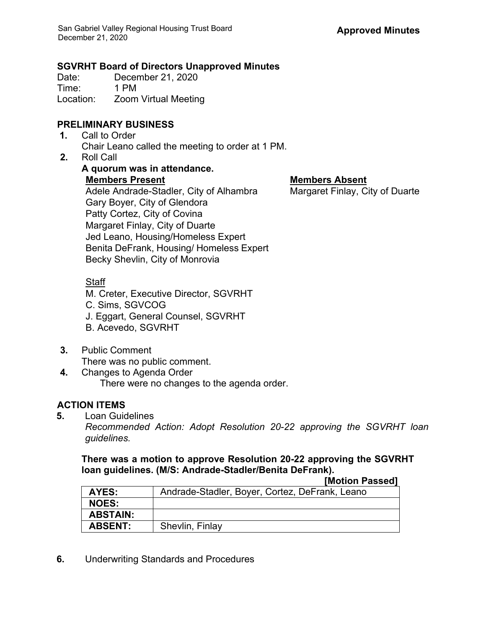#### **SGVRHT Board of Directors Unapproved Minutes**

Date: December 21, 2020 Time: 1 PM Location: Zoom Virtual Meeting

## **PRELIMINARY BUSINESS**

- **1.** Call to Order Chair Leano called the meeting to order at 1 PM.
- **2.** Roll Call

**A quorum was in attendance. Members Present Members Absent** Adele Andrade-Stadler, City of Alhambra Margaret Finlay, City of Duarte Gary Boyer, City of Glendora Patty Cortez, City of Covina Margaret Finlay, City of Duarte Jed Leano, Housing/Homeless Expert Benita DeFrank, Housing/ Homeless Expert Becky Shevlin, City of Monrovia

### Staff

M. Creter, Executive Director, SGVRHT C. Sims, SGVCOG J. Eggart, General Counsel, SGVRHT B. Acevedo, SGVRHT

- **3.** Public Comment There was no public comment.
- **4.** Changes to Agenda Order There were no changes to the agenda order.

# **ACTION ITEMS**

**5.** Loan Guidelines

*Recommended Action: Adopt Resolution 20-22 approving the SGVRHT loan guidelines.*

**There was a motion to approve Resolution 20-22 approving the SGVRHT loan guidelines. (M/S: Andrade-Stadler/Benita DeFrank). [Motion Passed]**

|                 | <b>INULIUII FASSEUI</b>                        |
|-----------------|------------------------------------------------|
| AYES:           | Andrade-Stadler, Boyer, Cortez, DeFrank, Leano |
| <b>NOES:</b>    |                                                |
| <b>ABSTAIN:</b> |                                                |
| <b>ABSENT:</b>  | Shevlin, Finlay                                |

**6.** Underwriting Standards and Procedures